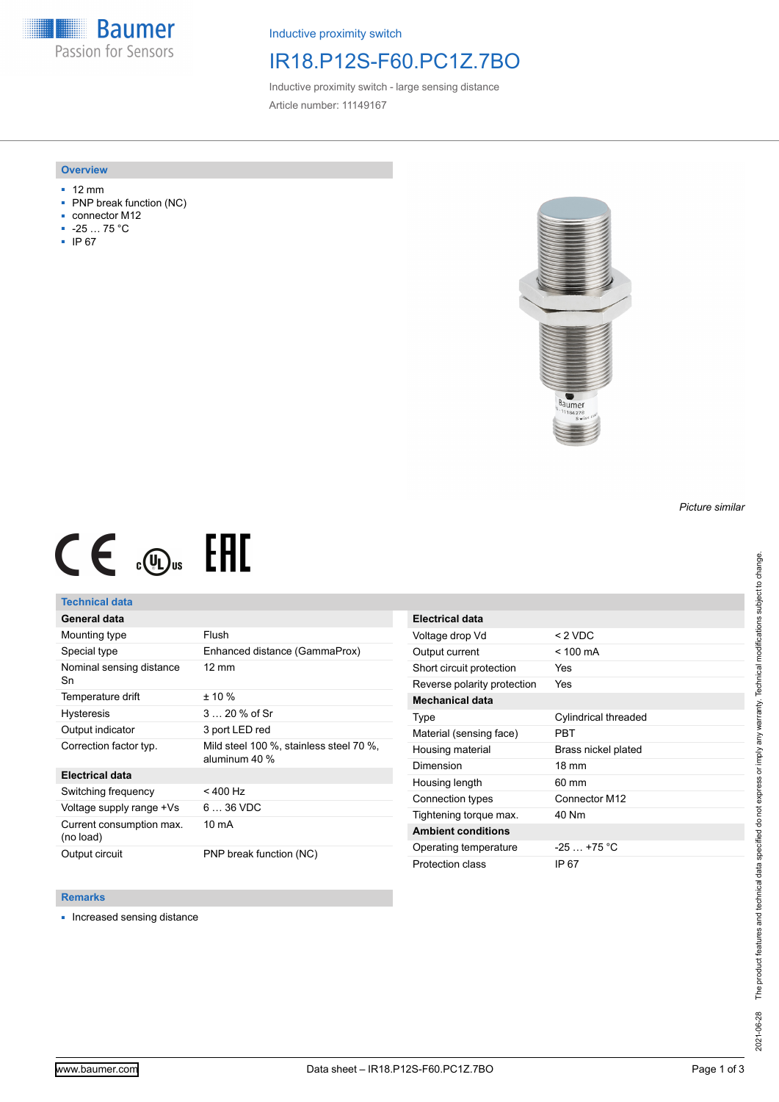**Baumer** Passion for Sensors

Inductive proximity switch

## IR18.P12S-F60.PC1Z.7BO

Inductive proximity switch - large sensing distance Article number: 11149167

### **Overview**

- 12 mm
- PNP break function (NC)
- connector M12
- -25 … 75 °C
- IP 67



# $CE \mathcal{L}$  (Dus FHI

## **Technical data**

## **General data**

| Mounting type                         | Flush                                                    |
|---------------------------------------|----------------------------------------------------------|
| Special type                          | Enhanced distance (GammaProx)                            |
| Nominal sensing distance<br>Sn        | $12 \text{ mm}$                                          |
| Temperature drift                     | $± 10 \%$                                                |
| <b>Hysteresis</b>                     | $320%$ of Sr                                             |
| Output indicator                      | 3 port LED red                                           |
| Correction factor typ.                | Mild steel 100 %, stainless steel 70 %,<br>aluminum 40 % |
| <b>Electrical data</b>                |                                                          |
| Switching frequency                   | $< 400$ Hz                                               |
| Voltage supply range +Vs              | $636$ VDC                                                |
| Current consumption max.<br>(no load) | 10 mA                                                    |
| Output circuit                        | PNP break function (NC)                                  |

| <b>Electrical data</b>      |                      |
|-----------------------------|----------------------|
| Voltage drop Vd             | $< 2$ VDC            |
| Output current              | $<$ 100 mA           |
| Short circuit protection    | Yes                  |
| Reverse polarity protection | Yes                  |
| <b>Mechanical data</b>      |                      |
| Type                        | Cylindrical threaded |
| Material (sensing face)     | PRT                  |
| Housing material            | Brass nickel plated  |
| Dimension                   | $18 \text{ mm}$      |
| Housing length              | $60 \text{ mm}$      |
| Connection types            | Connector M12        |
| Tightening torque max.      | 40 Nm                |
| <b>Ambient conditions</b>   |                      |
| Operating temperature       | $-25 - +75$ °C       |
| Protection class            | IP 67                |

#### **Remarks**

■ Increased sensing distance

*Picture similar*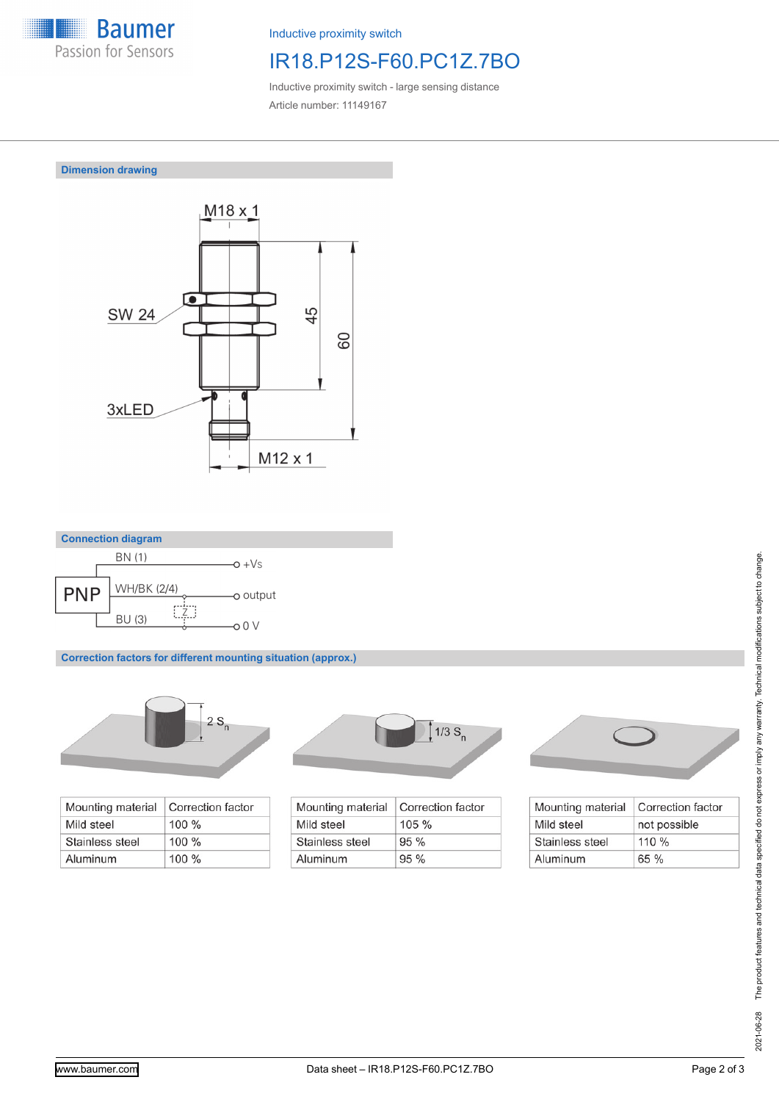

Inductive proximity switch

# IR18.P12S-F60.PC1Z.7BO

Inductive proximity switch - large sensing distance Article number: 11149167

**Dimension drawing**





**Correction factors for different mounting situation (approx.)**



| Mounting material | Correction factor |
|-------------------|-------------------|
| Mild steel        | $100 \%$          |
| Stainless steel   | $100\%$           |
| Aluminum          | $100\%$           |



| Mounting material | Correction factor |
|-------------------|-------------------|
| Mild steel        | $105 \%$          |
| Stainless steel   | 95%               |
| Aluminum          | 95%               |



| Mounting material | Correction factor |
|-------------------|-------------------|
| Mild steel        | not possible      |
| Stainless steel   | $110\%$           |
| Aluminum          | 65%               |